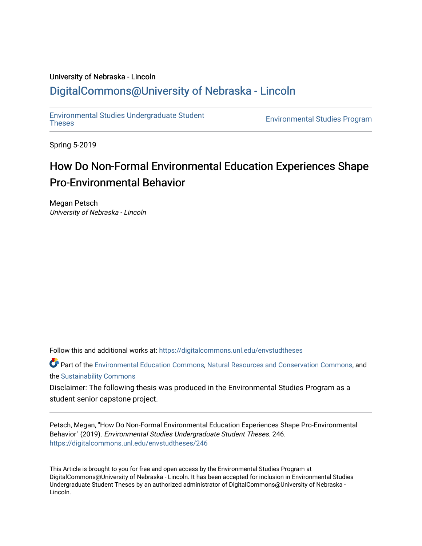## University of Nebraska - Lincoln [DigitalCommons@University of Nebraska - Lincoln](https://digitalcommons.unl.edu/)

[Environmental Studies Undergraduate Student](https://digitalcommons.unl.edu/envstudtheses) 

**Environmental Studies Program** 

Spring 5-2019

# How Do Non-Formal Environmental Education Experiences Shape Pro-Environmental Behavior

Megan Petsch University of Nebraska - Lincoln

Follow this and additional works at: [https://digitalcommons.unl.edu/envstudtheses](https://digitalcommons.unl.edu/envstudtheses?utm_source=digitalcommons.unl.edu%2Fenvstudtheses%2F246&utm_medium=PDF&utm_campaign=PDFCoverPages) 

Part of the [Environmental Education Commons](http://network.bepress.com/hgg/discipline/1305?utm_source=digitalcommons.unl.edu%2Fenvstudtheses%2F246&utm_medium=PDF&utm_campaign=PDFCoverPages), [Natural Resources and Conservation Commons](http://network.bepress.com/hgg/discipline/168?utm_source=digitalcommons.unl.edu%2Fenvstudtheses%2F246&utm_medium=PDF&utm_campaign=PDFCoverPages), and the [Sustainability Commons](http://network.bepress.com/hgg/discipline/1031?utm_source=digitalcommons.unl.edu%2Fenvstudtheses%2F246&utm_medium=PDF&utm_campaign=PDFCoverPages) 

Disclaimer: The following thesis was produced in the Environmental Studies Program as a student senior capstone project.

Petsch, Megan, "How Do Non-Formal Environmental Education Experiences Shape Pro-Environmental Behavior" (2019). Environmental Studies Undergraduate Student Theses. 246. [https://digitalcommons.unl.edu/envstudtheses/246](https://digitalcommons.unl.edu/envstudtheses/246?utm_source=digitalcommons.unl.edu%2Fenvstudtheses%2F246&utm_medium=PDF&utm_campaign=PDFCoverPages) 

This Article is brought to you for free and open access by the Environmental Studies Program at DigitalCommons@University of Nebraska - Lincoln. It has been accepted for inclusion in Environmental Studies Undergraduate Student Theses by an authorized administrator of DigitalCommons@University of Nebraska - Lincoln.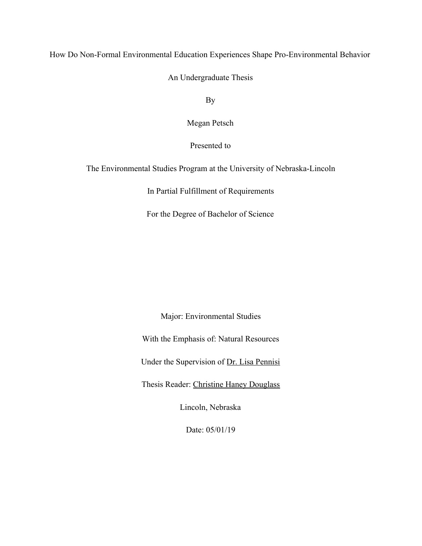How Do Non-Formal Environmental Education Experiences Shape Pro-Environmental Behavior

An Undergraduate Thesis

By

Megan Petsch

Presented to

The Environmental Studies Program at the University of Nebraska-Lincoln

In Partial Fulfillment of Requirements

For the Degree of Bachelor of Science

Major: Environmental Studies

With the Emphasis of: Natural Resources

Under the Supervision of Dr. Lisa Pennisi

Thesis Reader: Christine Haney Douglass

Lincoln, Nebraska

Date: 05/01/19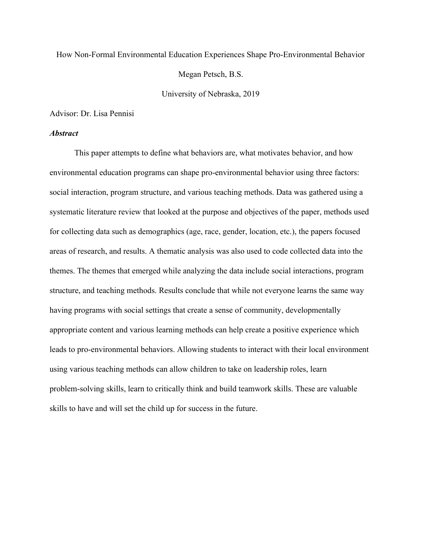#### How Non-Formal Environmental Education Experiences Shape Pro-Environmental Behavior

Megan Petsch, B.S.

University of Nebraska, 2019

Advisor: Dr. Lisa Pennisi

#### *Abstract*

This paper attempts to define what behaviors are, what motivates behavior, and how environmental education programs can shape pro-environmental behavior using three factors: social interaction, program structure, and various teaching methods. Data was gathered using a systematic literature review that looked at the purpose and objectives of the paper, methods used for collecting data such as demographics (age, race, gender, location, etc.), the papers focused areas of research, and results. A thematic analysis was also used to code collected data into the themes. The themes that emerged while analyzing the data include social interactions, program structure, and teaching methods. Results conclude that while not everyone learns the same way having programs with social settings that create a sense of community, developmentally appropriate content and various learning methods can help create a positive experience which leads to pro-environmental behaviors. Allowing students to interact with their local environment using various teaching methods can allow children to take on leadership roles, learn problem-solving skills, learn to critically think and build teamwork skills. These are valuable skills to have and will set the child up for success in the future.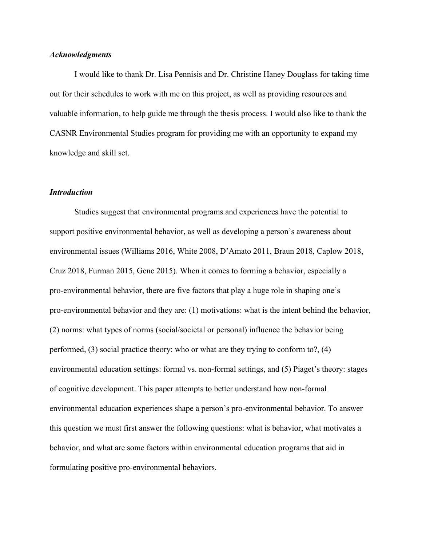#### *Acknowledgments*

I would like to thank Dr. Lisa Pennisis and Dr. Christine Haney Douglass for taking time out for their schedules to work with me on this project, as well as providing resources and valuable information, to help guide me through the thesis process. I would also like to thank the CASNR Environmental Studies program for providing me with an opportunity to expand my knowledge and skill set.

#### *Introduction*

Studies suggest that environmental programs and experiences have the potential to support positive environmental behavior, as well as developing a person's awareness about environmental issues (Williams 2016, White 2008, D'Amato 2011, Braun 2018, Caplow 2018, Cruz 2018, Furman 2015, Genc 2015). When it comes to forming a behavior, especially a pro-environmental behavior, there are five factors that play a huge role in shaping one's pro-environmental behavior and they are: (1) motivations: what is the intent behind the behavior, (2) norms: what types of norms (social/societal or personal) influence the behavior being performed, (3) social practice theory: who or what are they trying to conform to?, (4) environmental education settings: formal vs. non-formal settings, and (5) Piaget's theory: stages of cognitive development. This paper attempts to better understand how non-formal environmental education experiences shape a person's pro-environmental behavior. To answer this question we must first answer the following questions: what is behavior, what motivates a behavior, and what are some factors within environmental education programs that aid in formulating positive pro-environmental behaviors.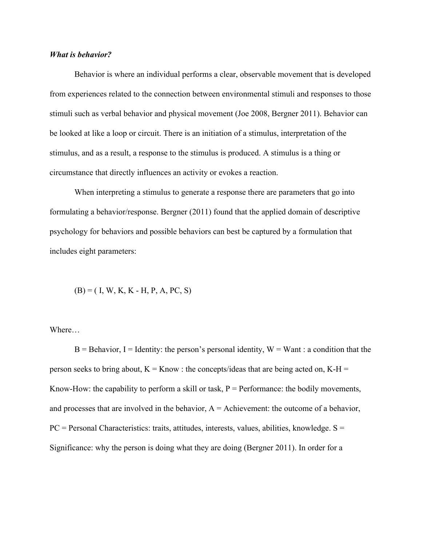#### *What is behavior?*

Behavior is where an individual performs a clear, observable movement that is developed from experiences related to the connection between environmental stimuli and responses to those stimuli such as verbal behavior and physical movement (Joe 2008, Bergner 2011). Behavior can be looked at like a loop or circuit. There is an initiation of a stimulus, interpretation of the stimulus, and as a result, a response to the stimulus is produced. A stimulus is a thing or circumstance that directly influences an activity or evokes a reaction.

When interpreting a stimulus to generate a response there are parameters that go into formulating a behavior/response. Bergner (2011) found that the applied domain of descriptive psychology for behaviors and possible behaviors can best be captured by a formulation that includes eight parameters:

 $(B) = ( I, W, K, K - H, P, A, PC, S)$ 

Where…

 $B =$ Behavior, I = Identity: the person's personal identity, W = Want : a condition that the person seeks to bring about,  $K =$ Know : the concepts/ideas that are being acted on,  $K-H =$ Know-How: the capability to perform a skill or task,  $P =$  Performance: the bodily movements, and processes that are involved in the behavior,  $A =$  Achievement: the outcome of a behavior,  $PC =$  Personal Characteristics: traits, attitudes, interests, values, abilities, knowledge.  $S =$ Significance: why the person is doing what they are doing (Bergner 2011). In order for a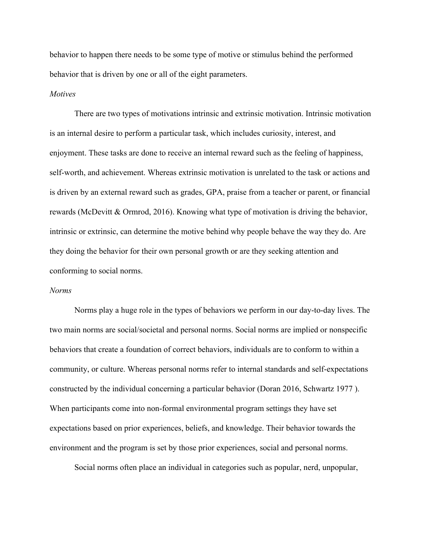behavior to happen there needs to be some type of motive or stimulus behind the performed behavior that is driven by one or all of the eight parameters.

#### *Motives*

There are two types of motivations intrinsic and extrinsic motivation. Intrinsic motivation is an internal desire to perform a particular task, which includes curiosity, interest, and enjoyment. These tasks are done to receive an internal reward such as the feeling of happiness, self-worth, and achievement. Whereas extrinsic motivation is unrelated to the task or actions and is driven by an external reward such as grades, GPA, praise from a teacher or parent, or financial rewards (McDevitt & Ormrod, 2016). Knowing what type of motivation is driving the behavior, intrinsic or extrinsic, can determine the motive behind why people behave the way they do. Are they doing the behavior for their own personal growth or are they seeking attention and conforming to social norms.

#### *Norms*

Norms play a huge role in the types of behaviors we perform in our day-to-day lives. The two main norms are social/societal and personal norms. Social norms are implied or nonspecific behaviors that create a foundation of correct behaviors, individuals are to conform to within a community, or culture. Whereas personal norms refer to internal standards and self-expectations constructed by the individual concerning a particular behavior (Doran 2016, Schwartz 1977 ). When participants come into non-formal environmental program settings they have set expectations based on prior experiences, beliefs, and knowledge. Their behavior towards the environment and the program is set by those prior experiences, social and personal norms.

Social norms often place an individual in categories such as popular, nerd, unpopular,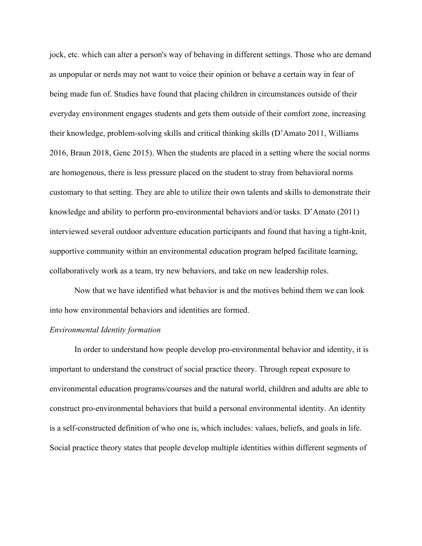jock, etc. which can alter a person's way of behaving in different settings. Those who are demand as unpopular or nerds may not want to voice their opinion or behave a certain way in fear of being made fun of. Studies have found that placing children in circumstances outside of their everyday environment engages students and gets them outside of their comfort zone, increasing their knowledge, problem-solving skills and critical thinking skills (D'Amato 2011, Williams 2016, Braun 2018, Genc 2015). When the students are placed in a setting where the social norms are homogenous, there is less pressure placed on the student to stray from behavioral norms customary to that setting. They are able to utilize their own talents and skills to demonstrate their knowledge and ability to perform pro-environmental behaviors and/or tasks. D'Amato (2011) interviewed several outdoor adventure education participants and found that having a tight-knit, supportive community within an environmental education program helped facilitate learning, collaboratively work as a team, try new behaviors, and take on new leadership roles.

Now that we have identified what behavior is and the motives behind them we can look into how environmental behaviors and identities are formed.

#### *Environmental Identity formation*

In order to understand how people develop pro-environmental behavior and identity, it is important to understand the construct of social practice theory. Through repeat exposure to environmental education programs/courses and the natural world, children and adults are able to construct pro-environmental behaviors that build a personal environmental identity. An identity is a self-constructed definition of who one is, which includes: values, beliefs, and goals in life. Social practice theory states that people develop multiple identities within different segments of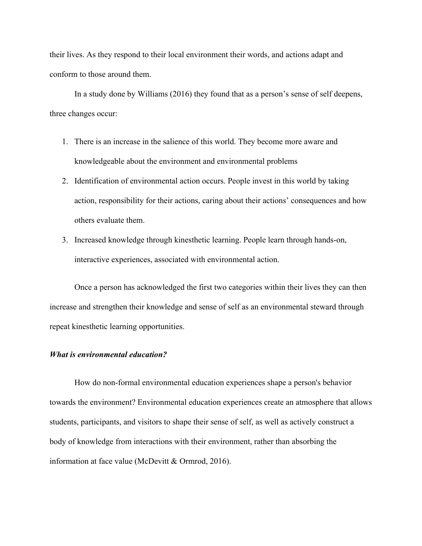their lives. As they respond to their local environment their words, and actions adapt and conform to those around them.

In a study done by Williams (2016) they found that as a person's sense of self deepens, three changes occur:

- 1. There is an increase in the salience of this world. They become more aware and knowledgeable about the environment and environmental problems
- 2. Identification of environmental action occurs. People invest in this world by taking action, responsibility for their actions, caring about their actions' consequences and how others evaluate them.
- 3. Increased knowledge through kinesthetic learning. People learn through hands-on, interactive experiences, associated with environmental action.

Once a person has acknowledged the first two categories within their lives they can then increase and strengthen their knowledge and sense of self as an environmental steward through repeat kinesthetic learning opportunities.

#### *What is environmental education?*

How do non-formal environmental education experiences shape a person's behavior towards the environment? Environmental education experiences create an atmosphere that allows students, participants, and visitors to shape their sense of self, as well as actively construct a body of knowledge from interactions with their environment, rather than absorbing the information at face value (McDevitt & Ormrod, 2016).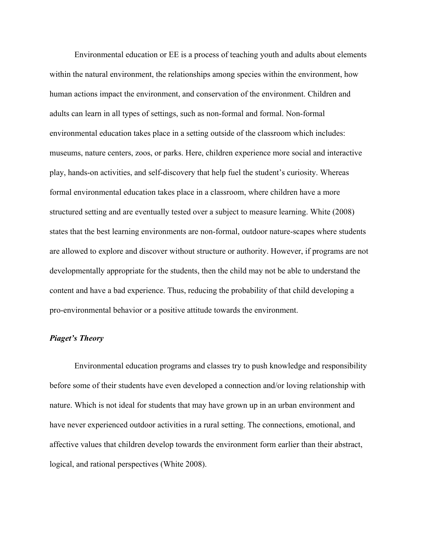Environmental education or EE is a process of teaching youth and adults about elements within the natural environment, the relationships among species within the environment, how human actions impact the environment, and conservation of the environment. Children and adults can learn in all types of settings, such as non-formal and formal. Non-formal environmental education takes place in a setting outside of the classroom which includes: museums, nature centers, zoos, or parks. Here, children experience more social and interactive play, hands-on activities, and self-discovery that help fuel the student's curiosity. Whereas formal environmental education takes place in a classroom, where children have a more structured setting and are eventually tested over a subject to measure learning. White (2008) states that the best learning environments are non-formal, outdoor nature-scapes where students are allowed to explore and discover without structure or authority. However, if programs are not developmentally appropriate for the students, then the child may not be able to understand the content and have a bad experience. Thus, reducing the probability of that child developing a pro-environmental behavior or a positive attitude towards the environment.

#### *Piaget's Theory*

Environmental education programs and classes try to push knowledge and responsibility before some of their students have even developed a connection and/or loving relationship with nature. Which is not ideal for students that may have grown up in an urban environment and have never experienced outdoor activities in a rural setting. The connections, emotional, and affective values that children develop towards the environment form earlier than their abstract, logical, and rational perspectives (White 2008).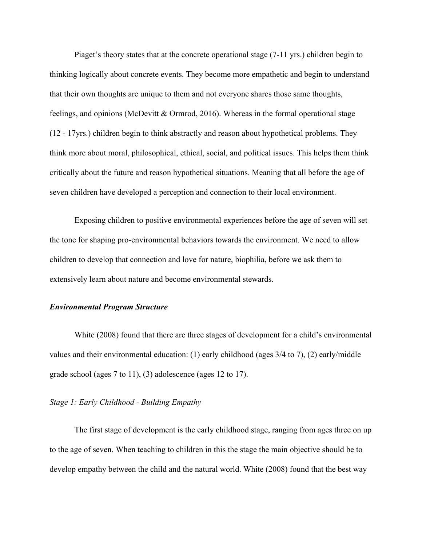Piaget's theory states that at the concrete operational stage (7-11 yrs.) children begin to thinking logically about concrete events. They become more empathetic and begin to understand that their own thoughts are unique to them and not everyone shares those same thoughts, feelings, and opinions (McDevitt & Ormrod, 2016). Whereas in the formal operational stage (12 - 17yrs.) children begin to think abstractly and reason about hypothetical problems. They think more about moral, philosophical, ethical, social, and political issues. This helps them think critically about the future and reason hypothetical situations. Meaning that all before the age of seven children have developed a perception and connection to their local environment.

Exposing children to positive environmental experiences before the age of seven will set the tone for shaping pro-environmental behaviors towards the environment. We need to allow children to develop that connection and love for nature, biophilia, before we ask them to extensively learn about nature and become environmental stewards.

#### *Environmental Program Structure*

White (2008) found that there are three stages of development for a child's environmental values and their environmental education: (1) early childhood (ages 3/4 to 7), (2) early/middle grade school (ages 7 to 11), (3) adolescence (ages 12 to 17).

#### *Stage 1: Early Childhood - Building Empathy*

The first stage of development is the early childhood stage, ranging from ages three on up to the age of seven. When teaching to children in this the stage the main objective should be to develop empathy between the child and the natural world. White (2008) found that the best way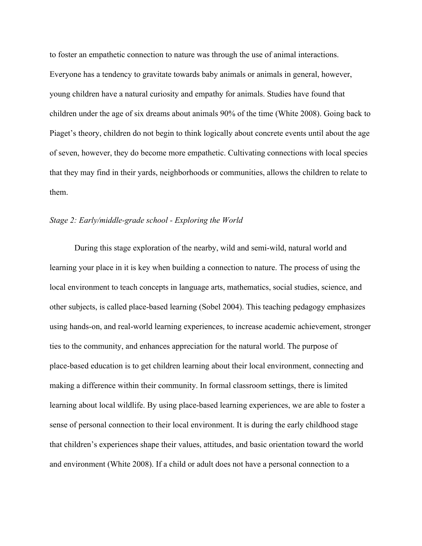to foster an empathetic connection to nature was through the use of animal interactions. Everyone has a tendency to gravitate towards baby animals or animals in general, however, young children have a natural curiosity and empathy for animals. Studies have found that children under the age of six dreams about animals 90% of the time (White 2008). Going back to Piaget's theory, children do not begin to think logically about concrete events until about the age of seven, however, they do become more empathetic. Cultivating connections with local species that they may find in their yards, neighborhoods or communities, allows the children to relate to them.

#### *Stage 2: Early/middle-grade school - Exploring the World*

During this stage exploration of the nearby, wild and semi-wild, natural world and learning your place in it is key when building a connection to nature. The process of using the local environment to teach concepts in language arts, mathematics, social studies, science, and other subjects, is called place-based learning (Sobel 2004). This teaching pedagogy emphasizes using hands-on, and real-world learning experiences, to increase academic achievement, stronger ties to the community, and enhances appreciation for the natural world. The purpose of place-based education is to get children learning about their local environment, connecting and making a difference within their community. In formal classroom settings, there is limited learning about local wildlife. By using place-based learning experiences, we are able to foster a sense of personal connection to their local environment. It is during the early childhood stage that children's experiences shape their values, attitudes, and basic orientation toward the world and environment (White 2008). If a child or adult does not have a personal connection to a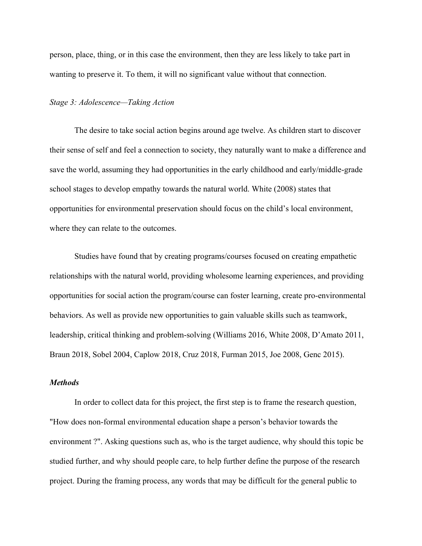person, place, thing, or in this case the environment, then they are less likely to take part in wanting to preserve it. To them, it will no significant value without that connection.

#### *Stage 3: Adolescence—Taking Action*

The desire to take social action begins around age twelve. As children start to discover their sense of self and feel a connection to society, they naturally want to make a difference and save the world, assuming they had opportunities in the early childhood and early/middle-grade school stages to develop empathy towards the natural world. White (2008) states that opportunities for environmental preservation should focus on the child's local environment, where they can relate to the outcomes.

Studies have found that by creating programs/courses focused on creating empathetic relationships with the natural world, providing wholesome learning experiences, and providing opportunities for social action the program/course can foster learning, create pro-environmental behaviors. As well as provide new opportunities to gain valuable skills such as teamwork, leadership, critical thinking and problem-solving (Williams 2016, White 2008, D'Amato 2011, Braun 2018, Sobel 2004, Caplow 2018, Cruz 2018, Furman 2015, Joe 2008, Genc 2015).

#### *Methods*

In order to collect data for this project, the first step is to frame the research question, "How does non-formal environmental education shape a person's behavior towards the environment ?". Asking questions such as, who is the target audience, why should this topic be studied further, and why should people care, to help further define the purpose of the research project. During the framing process, any words that may be difficult for the general public to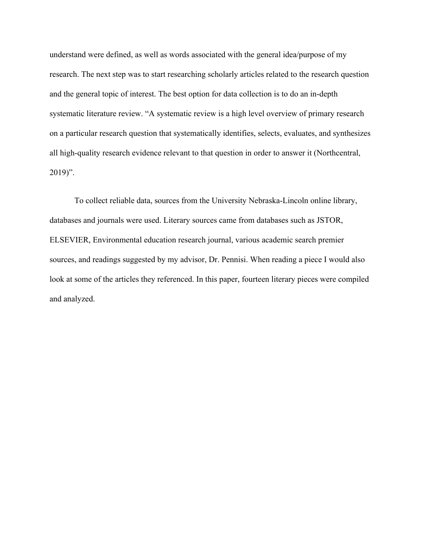understand were defined, as well as words associated with the general idea/purpose of my research. The next step was to start researching scholarly articles related to the research question and the general topic of interest. The best option for data collection is to do an in-depth systematic literature review. "A systematic review is a high level overview of primary research on a particular research question that systematically identifies, selects, evaluates, and synthesizes all high-quality research evidence relevant to that question in order to answer it (Northcentral,  $2019$ ".

To collect reliable data, sources from the University Nebraska-Lincoln online library, databases and journals were used. Literary sources came from databases such as JSTOR, ELSEVIER, Environmental education research journal, various academic search premier sources, and readings suggested by my advisor, Dr. Pennisi. When reading a piece I would also look at some of the articles they referenced. In this paper, fourteen literary pieces were compiled and analyzed.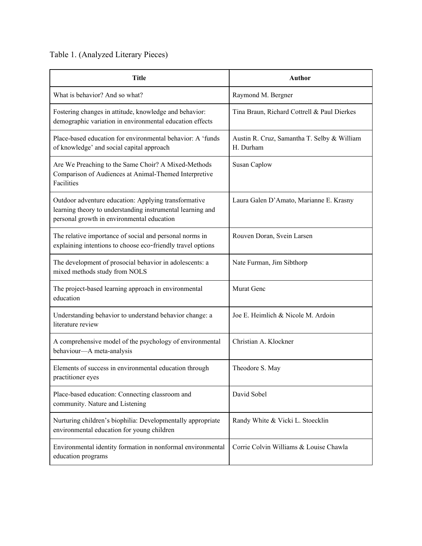# Table 1. (Analyzed Literary Pieces)

| <b>Title</b>                                                                                                                                                     | <b>Author</b>                                            |
|------------------------------------------------------------------------------------------------------------------------------------------------------------------|----------------------------------------------------------|
| What is behavior? And so what?                                                                                                                                   | Raymond M. Bergner                                       |
| Fostering changes in attitude, knowledge and behavior:<br>demographic variation in environmental education effects                                               | Tina Braun, Richard Cottrell & Paul Dierkes              |
| Place-based education for environmental behavior: A 'funds<br>of knowledge' and social capital approach                                                          | Austin R. Cruz, Samantha T. Selby & William<br>H. Durham |
| Are We Preaching to the Same Choir? A Mixed-Methods<br>Comparison of Audiences at Animal-Themed Interpretive<br>Facilities                                       | <b>Susan Caplow</b>                                      |
| Outdoor adventure education: Applying transformative<br>learning theory to understanding instrumental learning and<br>personal growth in environmental education | Laura Galen D'Amato, Marianne E. Krasny                  |
| The relative importance of social and personal norms in<br>explaining intentions to choose eco-friendly travel options                                           | Rouven Doran, Svein Larsen                               |
| The development of prosocial behavior in adolescents: a<br>mixed methods study from NOLS                                                                         | Nate Furman, Jim Sibthorp                                |
| The project-based learning approach in environmental<br>education                                                                                                | Murat Genc                                               |
| Understanding behavior to understand behavior change: a<br>literature review                                                                                     | Joe E. Heimlich & Nicole M. Ardoin                       |
| A comprehensive model of the psychology of environmental<br>behaviour-A meta-analysis                                                                            | Christian A. Klockner                                    |
| Elements of success in environmental education through<br>practitioner eyes                                                                                      | Theodore S. May                                          |
| Place-based education: Connecting classroom and<br>community. Nature and Listening                                                                               | David Sobel                                              |
| Nurturing children's biophilia: Developmentally appropriate<br>environmental education for young children                                                        | Randy White & Vicki L. Stoecklin                         |
| Environmental identity formation in nonformal environmental<br>education programs                                                                                | Corrie Colvin Williams & Louise Chawla                   |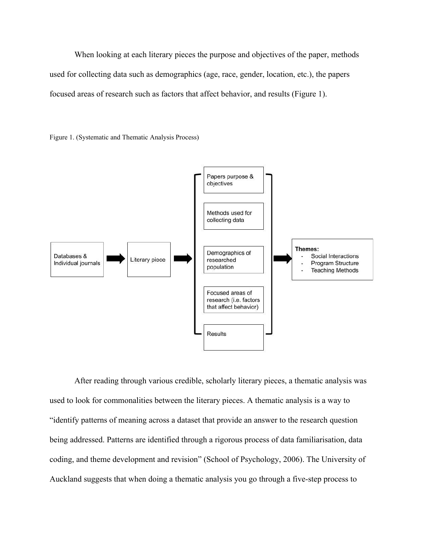When looking at each literary pieces the purpose and objectives of the paper, methods used for collecting data such as demographics (age, race, gender, location, etc.), the papers focused areas of research such as factors that affect behavior, and results (Figure 1).





After reading through various credible, scholarly literary pieces, a thematic analysis was used to look for commonalities between the literary pieces. A thematic analysis is a way to "identify patterns of meaning across a dataset that provide an answer to the research question being addressed. Patterns are identified through a rigorous process of data familiarisation, data coding, and theme development and revision" (School of Psychology, 2006). The University of Auckland suggests that when doing a thematic analysis you go through a five-step process to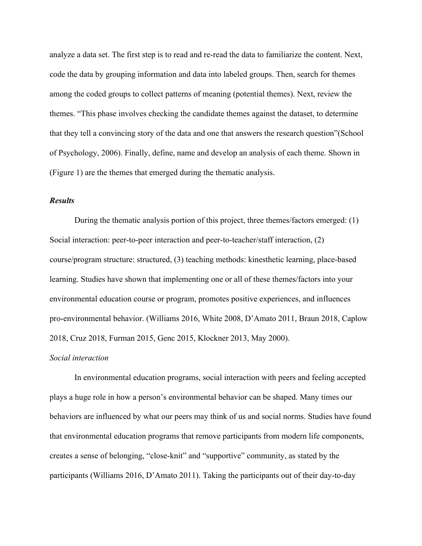analyze a data set. The first step is to read and re-read the data to familiarize the content. Next, code the data by grouping information and data into labeled groups. Then, search for themes among the coded groups to collect patterns of meaning (potential themes). Next, review the themes. "This phase involves checking the candidate themes against the dataset, to determine that they tell a convincing story of the data and one that answers the research question"(School of Psychology, 2006). Finally, define, name and develop an analysis of each theme. Shown in (Figure 1) are the themes that emerged during the thematic analysis.

#### *Results*

During the thematic analysis portion of this project, three themes/factors emerged: (1) Social interaction: peer-to-peer interaction and peer-to-teacher/staff interaction, (2) course/program structure: structured, (3) teaching methods: kinesthetic learning, place-based learning. Studies have shown that implementing one or all of these themes/factors into your environmental education course or program, promotes positive experiences, and influences pro-environmental behavior. (Williams 2016, White 2008, D'Amato 2011, Braun 2018, Caplow 2018, Cruz 2018, Furman 2015, Genc 2015, Klockner 2013, May 2000).

#### *Social interaction*

In environmental education programs, social interaction with peers and feeling accepted plays a huge role in how a person's environmental behavior can be shaped. Many times our behaviors are influenced by what our peers may think of us and social norms. Studies have found that environmental education programs that remove participants from modern life components, creates a sense of belonging, "close-knit" and "supportive" community, as stated by the participants (Williams 2016, D'Amato 2011). Taking the participants out of their day-to-day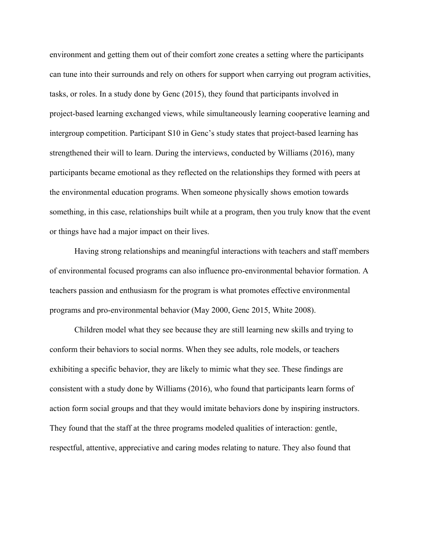environment and getting them out of their comfort zone creates a setting where the participants can tune into their surrounds and rely on others for support when carrying out program activities, tasks, or roles. In a study done by Genc (2015), they found that participants involved in project-based learning exchanged views, while simultaneously learning cooperative learning and intergroup competition. Participant S10 in Genc's study states that project-based learning has strengthened their will to learn. During the interviews, conducted by Williams (2016), many participants became emotional as they reflected on the relationships they formed with peers at the environmental education programs. When someone physically shows emotion towards something, in this case, relationships built while at a program, then you truly know that the event or things have had a major impact on their lives.

Having strong relationships and meaningful interactions with teachers and staff members of environmental focused programs can also influence pro-environmental behavior formation. A teachers passion and enthusiasm for the program is what promotes effective environmental programs and pro-environmental behavior (May 2000, Genc 2015, White 2008).

Children model what they see because they are still learning new skills and trying to conform their behaviors to social norms. When they see adults, role models, or teachers exhibiting a specific behavior, they are likely to mimic what they see. These findings are consistent with a study done by Williams (2016), who found that participants learn forms of action form social groups and that they would imitate behaviors done by inspiring instructors. They found that the staff at the three programs modeled qualities of interaction: gentle, respectful, attentive, appreciative and caring modes relating to nature. They also found that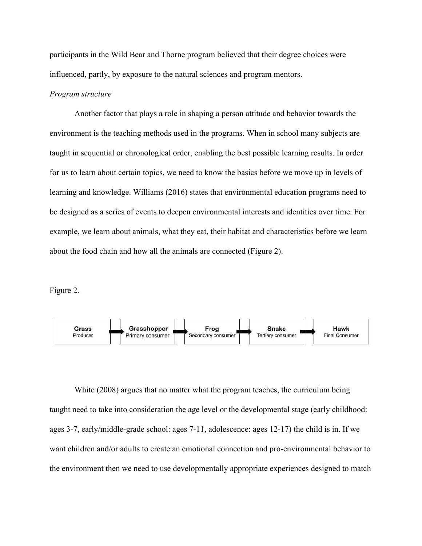participants in the Wild Bear and Thorne program believed that their degree choices were influenced, partly, by exposure to the natural sciences and program mentors.

#### *Program structure*

Another factor that plays a role in shaping a person attitude and behavior towards the environment is the teaching methods used in the programs. When in school many subjects are taught in sequential or chronological order, enabling the best possible learning results. In order for us to learn about certain topics, we need to know the basics before we move up in levels of learning and knowledge. Williams (2016) states that environmental education programs need to be designed as a series of events to deepen environmental interests and identities over time. For example, we learn about animals, what they eat, their habitat and characteristics before we learn about the food chain and how all the animals are connected (Figure 2).

Figure 2.



White (2008) argues that no matter what the program teaches, the curriculum being taught need to take into consideration the age level or the developmental stage (early childhood: ages 3-7, early/middle-grade school: ages 7-11, adolescence: ages 12-17) the child is in. If we want children and/or adults to create an emotional connection and pro-environmental behavior to the environment then we need to use developmentally appropriate experiences designed to match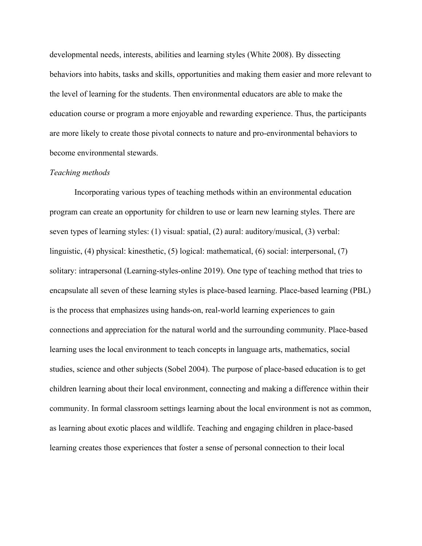developmental needs, interests, abilities and learning styles (White 2008). By dissecting behaviors into habits, tasks and skills, opportunities and making them easier and more relevant to the level of learning for the students. Then environmental educators are able to make the education course or program a more enjoyable and rewarding experience. Thus, the participants are more likely to create those pivotal connects to nature and pro-environmental behaviors to become environmental stewards.

#### *Teaching methods*

Incorporating various types of teaching methods within an environmental education program can create an opportunity for children to use or learn new learning styles. There are seven types of learning styles: (1) visual: spatial, (2) aural: auditory/musical, (3) verbal: linguistic, (4) physical: kinesthetic, (5) logical: mathematical, (6) social: interpersonal, (7) solitary: intrapersonal (Learning-styles-online 2019). One type of teaching method that tries to encapsulate all seven of these learning styles is place-based learning. Place-based learning (PBL) is the process that emphasizes using hands-on, real-world learning experiences to gain connections and appreciation for the natural world and the surrounding community. Place-based learning uses the local environment to teach concepts in language arts, mathematics, social studies, science and other subjects (Sobel 2004). The purpose of place-based education is to get children learning about their local environment, connecting and making a difference within their community. In formal classroom settings learning about the local environment is not as common, as learning about exotic places and wildlife. Teaching and engaging children in place-based learning creates those experiences that foster a sense of personal connection to their local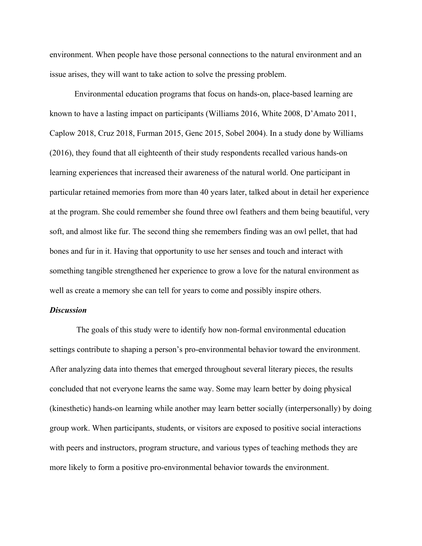environment. When people have those personal connections to the natural environment and an issue arises, they will want to take action to solve the pressing problem.

Environmental education programs that focus on hands-on, place-based learning are known to have a lasting impact on participants (Williams 2016, White 2008, D'Amato 2011, Caplow 2018, Cruz 2018, Furman 2015, Genc 2015, Sobel 2004). In a study done by Williams (2016), they found that all eighteenth of their study respondents recalled various hands-on learning experiences that increased their awareness of the natural world. One participant in particular retained memories from more than 40 years later, talked about in detail her experience at the program. She could remember she found three owl feathers and them being beautiful, very soft, and almost like fur. The second thing she remembers finding was an owl pellet, that had bones and fur in it. Having that opportunity to use her senses and touch and interact with something tangible strengthened her experience to grow a love for the natural environment as well as create a memory she can tell for years to come and possibly inspire others.

#### *Discussion*

 The goals of this study were to identify how non-formal environmental education settings contribute to shaping a person's pro-environmental behavior toward the environment. After analyzing data into themes that emerged throughout several literary pieces, the results concluded that not everyone learns the same way. Some may learn better by doing physical (kinesthetic) hands-on learning while another may learn better socially (interpersonally) by doing group work. When participants, students, or visitors are exposed to positive social interactions with peers and instructors, program structure, and various types of teaching methods they are more likely to form a positive pro-environmental behavior towards the environment.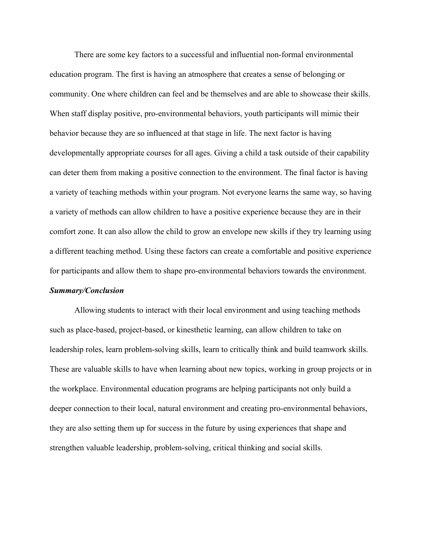There are some key factors to a successful and influential non-formal environmental education program. The first is having an atmosphere that creates a sense of belonging or community. One where children can feel and be themselves and are able to showcase their skills. When staff display positive, pro-environmental behaviors, youth participants will mimic their behavior because they are so influenced at that stage in life. The next factor is having developmentally appropriate courses for all ages. Giving a child a task outside of their capability can deter them from making a positive connection to the environment. The final factor is having a variety of teaching methods within your program. Not everyone learns the same way, so having a variety of methods can allow children to have a positive experience because they are in their comfort zone. It can also allow the child to grow an envelope new skills if they try learning using a different teaching method. Using these factors can create a comfortable and positive experience for participants and allow them to shape pro-environmental behaviors towards the environment.

#### *Summary/Conclusion*

Allowing students to interact with their local environment and using teaching methods such as place-based, project-based, or kinesthetic learning, can allow children to take on leadership roles, learn problem-solving skills, learn to critically think and build teamwork skills. These are valuable skills to have when learning about new topics, working in group projects or in the workplace. Environmental education programs are helping participants not only build a deeper connection to their local, natural environment and creating pro-environmental behaviors, they are also setting them up for success in the future by using experiences that shape and strengthen valuable leadership, problem-solving, critical thinking and social skills.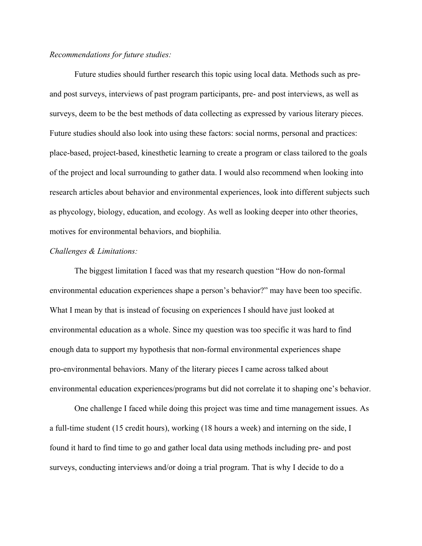#### *Recommendations for future studies:*

Future studies should further research this topic using local data. Methods such as preand post surveys, interviews of past program participants, pre- and post interviews, as well as surveys, deem to be the best methods of data collecting as expressed by various literary pieces. Future studies should also look into using these factors: social norms, personal and practices: place-based, project-based, kinesthetic learning to create a program or class tailored to the goals of the project and local surrounding to gather data. I would also recommend when looking into research articles about behavior and environmental experiences, look into different subjects such as phycology, biology, education, and ecology. As well as looking deeper into other theories, motives for environmental behaviors, and biophilia.

#### *Challenges & Limitations:*

The biggest limitation I faced was that my research question "How do non-formal environmental education experiences shape a person's behavior?" may have been too specific. What I mean by that is instead of focusing on experiences I should have just looked at environmental education as a whole. Since my question was too specific it was hard to find enough data to support my hypothesis that non-formal environmental experiences shape pro-environmental behaviors. Many of the literary pieces I came across talked about environmental education experiences/programs but did not correlate it to shaping one's behavior.

One challenge I faced while doing this project was time and time management issues. As a full-time student (15 credit hours), working (18 hours a week) and interning on the side, I found it hard to find time to go and gather local data using methods including pre- and post surveys, conducting interviews and/or doing a trial program. That is why I decide to do a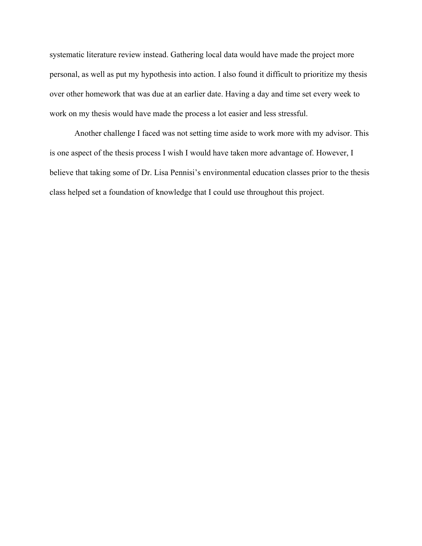systematic literature review instead. Gathering local data would have made the project more personal, as well as put my hypothesis into action. I also found it difficult to prioritize my thesis over other homework that was due at an earlier date. Having a day and time set every week to work on my thesis would have made the process a lot easier and less stressful.

Another challenge I faced was not setting time aside to work more with my advisor. This is one aspect of the thesis process I wish I would have taken more advantage of. However, I believe that taking some of Dr. Lisa Pennisi's environmental education classes prior to the thesis class helped set a foundation of knowledge that I could use throughout this project.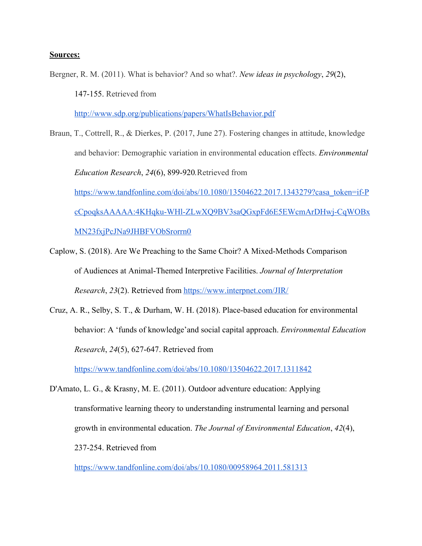#### **Sources:**

Bergner, R. M. (2011). What is behavior? And so what?. *New ideas in psychology*, *29*(2), 147-155. Retrieved from <http://www.sdp.org/publications/papers/WhatIsBehavior.pdf>

Braun, T., Cottrell, R., & Dierkes, P. (2017, June 27). Fostering changes in attitude, knowledge and behavior: Demographic variation in environmental education effects. *Environmental Education Research*, *24*(6), 899-920*.*Retrieved from [https://www.tandfonline.com/doi/abs/10.1080/13504622.2017.1343279?casa\\_token=if-P](https://www.tandfonline.com/doi/abs/10.1080/13504622.2017.1343279?casa_token=if-PcCpoqksAAAAA:4KHqku-WHl-ZLwXQ9BV3saQGxpFd6E5EWcmArDHwj-CqWOBxMN23fxjPcJNa9JHBFVObSrorrn0) [cCpoqksAAAAA:4KHqku-WHl-ZLwXQ9BV3saQGxpFd6E5EWcmArDHwj-CqWOBx](https://www.tandfonline.com/doi/abs/10.1080/13504622.2017.1343279?casa_token=if-PcCpoqksAAAAA:4KHqku-WHl-ZLwXQ9BV3saQGxpFd6E5EWcmArDHwj-CqWOBxMN23fxjPcJNa9JHBFVObSrorrn0) [MN23fxjPcJNa9JHBFVObSrorrn0](https://www.tandfonline.com/doi/abs/10.1080/13504622.2017.1343279?casa_token=if-PcCpoqksAAAAA:4KHqku-WHl-ZLwXQ9BV3saQGxpFd6E5EWcmArDHwj-CqWOBxMN23fxjPcJNa9JHBFVObSrorrn0)

Caplow, S. (2018). Are We Preaching to the Same Choir? A Mixed-Methods Comparison of Audiences at Animal-Themed Interpretive Facilities. *Journal of Interpretation Research*, *23*(2). Retrieved from<https://www.interpnet.com/JIR/>

Cruz, A. R., Selby, S. T., & Durham, W. H. (2018). Place-based education for environmental behavior: A 'funds of knowledge'and social capital approach. *Environmental Education Research*, *24*(5), 627-647. Retrieved from

<https://www.tandfonline.com/doi/abs/10.1080/13504622.2017.1311842>

D'Amato, L. G., & Krasny, M. E. (2011). Outdoor adventure education: Applying transformative learning theory to understanding instrumental learning and personal growth in environmental education. *The Journal of Environmental Education*, *42*(4), 237-254. Retrieved from

<https://www.tandfonline.com/doi/abs/10.1080/00958964.2011.581313>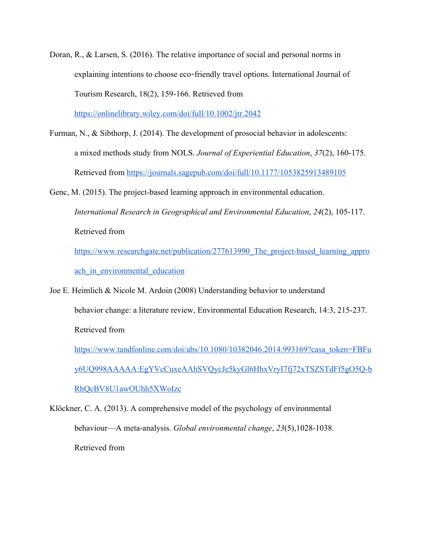Doran, R., & Larsen, S. (2016). The relative importance of social and personal norms in explaining intentions to choose eco-friendly travel options. International Journal of Tourism Research, 18(2), 159-166. Retrieved from

<https://onlinelibrary.wiley.com/doi/full/10.1002/jtr.2042>

- Furman, N., & Sibthorp, J. (2014). The development of prosocial behavior in adolescents: a mixed methods study from NOLS. *Journal of Experiential Education*, *37*(2), 160-175. Retrieved from <https://journals.sagepub.com/doi/full/10.1177/1053825913489105>
- Genc, M. (2015). The project-based learning approach in environmental education. *International Research in Geographical and Environmental Education*, *24*(2), 105-117. Retrieved from

https://www.researchgate.net/publication/277613990 The project-based learning appro ach in environmental education

Joe E. Heimlich & Nicole M. Ardoin (2008) Understanding behavior to understand behavior change: a literature review, Environmental Education Research, 14:3, 215-237. Retrieved from

[https://www.tandfonline.com/doi/abs/10.1080/10382046.2014.993169?casa\\_token=FBFu](https://www.tandfonline.com/doi/abs/10.1080/10382046.2014.993169?casa_token=FBFuy6UQ998AAAAA:EgYVcCuxeAAhSVQycJe5kyGl6HhxVryI7fj72xTSZSTdFf5gO5Q-bRhQcBV8U1awOUhh5XWoIzc) [y6UQ998AAAAA:EgYVcCuxeAAhSVQycJe5kyGl6HhxVryI7fj72xTSZSTdFf5gO5Q-b](https://www.tandfonline.com/doi/abs/10.1080/10382046.2014.993169?casa_token=FBFuy6UQ998AAAAA:EgYVcCuxeAAhSVQycJe5kyGl6HhxVryI7fj72xTSZSTdFf5gO5Q-bRhQcBV8U1awOUhh5XWoIzc) [RhQcBV8U1awOUhh5XWoIzc](https://www.tandfonline.com/doi/abs/10.1080/10382046.2014.993169?casa_token=FBFuy6UQ998AAAAA:EgYVcCuxeAAhSVQycJe5kyGl6HhxVryI7fj72xTSZSTdFf5gO5Q-bRhQcBV8U1awOUhh5XWoIzc)

Klöckner, C. A. (2013). A comprehensive model of the psychology of environmental behaviour—A meta-analysis. *Global environmental change*, *23*(5),1028-1038. Retrieved from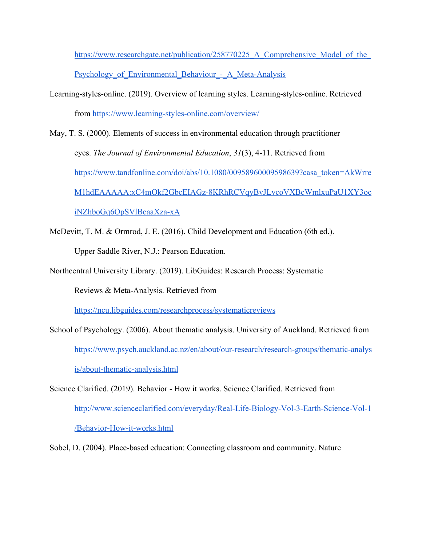https://www.researchgate.net/publication/258770225 A Comprehensive Model of the Psychology of Environmental Behaviour - A Meta-Analysis

Learning-styles-online. (2019). Overview of learning styles. Learning-styles-online. Retrieved from<https://www.learning-styles-online.com/overview/>

May, T. S. (2000). Elements of success in environmental education through practitioner eyes. *The Journal of Environmental Education*, *31*(3), 4-11. Retrieved from [https://www.tandfonline.com/doi/abs/10.1080/00958960009598639?casa\\_token=AkWrre](https://www.tandfonline.com/doi/abs/10.1080/00958960009598639?casa_token=AkWrreM1hdEAAAAA:xC4mOkf2GbcEIAGz-8KRhRCVqyBvJLvcoVXBcWmlxuPaU1XY3ociNZhboGq6OpSVlBeaaXza-xA) [M1hdEAAAAA:xC4mOkf2GbcEIAGz-8KRhRCVqyBvJLvcoVXBcWmlxuPaU1XY3oc](https://www.tandfonline.com/doi/abs/10.1080/00958960009598639?casa_token=AkWrreM1hdEAAAAA:xC4mOkf2GbcEIAGz-8KRhRCVqyBvJLvcoVXBcWmlxuPaU1XY3ociNZhboGq6OpSVlBeaaXza-xA) [iNZhboGq6OpSVlBeaaXza-xA](https://www.tandfonline.com/doi/abs/10.1080/00958960009598639?casa_token=AkWrreM1hdEAAAAA:xC4mOkf2GbcEIAGz-8KRhRCVqyBvJLvcoVXBcWmlxuPaU1XY3ociNZhboGq6OpSVlBeaaXza-xA)

McDevitt, T. M. & Ormrod, J. E. (2016). Child Development and Education (6th ed.). Upper Saddle River, N.J.: Pearson Education.

Northcentral University Library. (2019). LibGuides: Research Process: Systematic

Reviews & Meta-Analysis. Retrieved from

<https://ncu.libguides.com/researchprocess/systematicreviews>

School of Psychology. (2006). About thematic analysis. University of Auckland. Retrieved from [https://www.psych.auckland.ac.nz/en/about/our-research/research-groups/thematic-analys](https://www.psych.auckland.ac.nz/en/about/our-research/research-groups/thematic-analysis/about-thematic-analysis.html) [is/about-thematic-analysis.html](https://www.psych.auckland.ac.nz/en/about/our-research/research-groups/thematic-analysis/about-thematic-analysis.html)

Science Clarified. (2019). Behavior - How it works. Science Clarified. Retrieved from [http://www.scienceclarified.com/everyday/Real-Life-Biology-Vol-3-Earth-Science-Vol-1](http://www.scienceclarified.com/everyday/Real-Life-Biology-Vol-3-Earth-Science-Vol-1/Behavior-How-it-works.html) [/Behavior-How-it-works.html](http://www.scienceclarified.com/everyday/Real-Life-Biology-Vol-3-Earth-Science-Vol-1/Behavior-How-it-works.html)

Sobel, D. (2004). Place-based education: Connecting classroom and community. Nature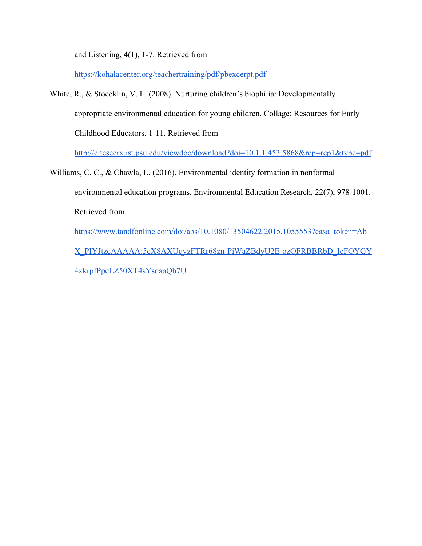and Listening, 4(1), 1-7. Retrieved from

<https://kohalacenter.org/teachertraining/pdf/pbexcerpt.pdf>

White, R., & Stoecklin, V. L. (2008). Nurturing children's biophilia: Developmentally appropriate environmental education for young children. Collage: Resources for Early Childhood Educators, 1-11. Retrieved from

<http://citeseerx.ist.psu.edu/viewdoc/download?doi=10.1.1.453.5868&rep=rep1&type=pdf>

Williams, C. C., & Chawla, L. (2016). Environmental identity formation in nonformal environmental education programs. Environmental Education Research, 22(7), 978-1001. Retrieved from [https://www.tandfonline.com/doi/abs/10.1080/13504622.2015.1055553?casa\\_token=Ab](https://www.tandfonline.com/doi/abs/10.1080/13504622.2015.1055553?casa_token=AbX_PIYJtzcAAAAA:5cX8AXUqyzFTRr68zn-PiWaZBdyU2E-ozQFRBBRbD_IcFOYGY4xkrpfPpeLZ50XT4sYsqaaQb7U) [X\\_PIYJtzcAAAAA:5cX8AXUqyzFTRr68zn-PiWaZBdyU2E-ozQFRBBRbD\\_IcFOYGY](https://www.tandfonline.com/doi/abs/10.1080/13504622.2015.1055553?casa_token=AbX_PIYJtzcAAAAA:5cX8AXUqyzFTRr68zn-PiWaZBdyU2E-ozQFRBBRbD_IcFOYGY4xkrpfPpeLZ50XT4sYsqaaQb7U)

[4xkrpfPpeLZ50XT4sYsqaaQb7U](https://www.tandfonline.com/doi/abs/10.1080/13504622.2015.1055553?casa_token=AbX_PIYJtzcAAAAA:5cX8AXUqyzFTRr68zn-PiWaZBdyU2E-ozQFRBBRbD_IcFOYGY4xkrpfPpeLZ50XT4sYsqaaQb7U)